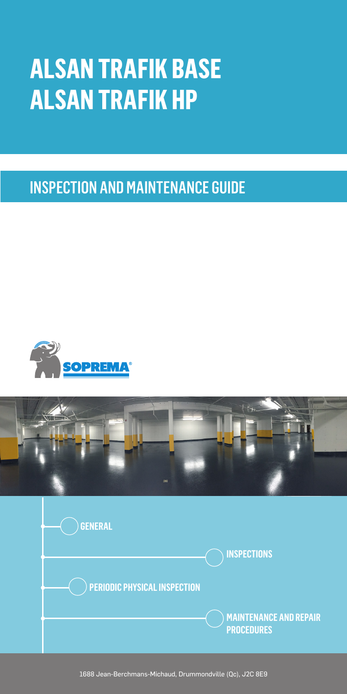# **ALSAN TRAFIK BASE ALSAN TRAFIK HP**

INSPECTION AND MAINTENANCE GUIDE







1688 Jean-Berchmans-Michaud, Drummondville (Qc), J2C 8E9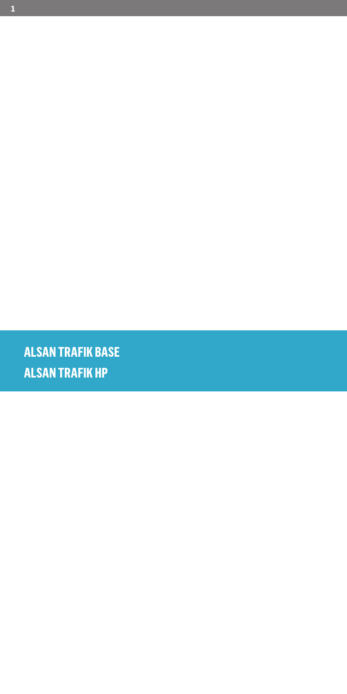**ALSAN TRAFIK HP ALSAN TRAFIK BASE**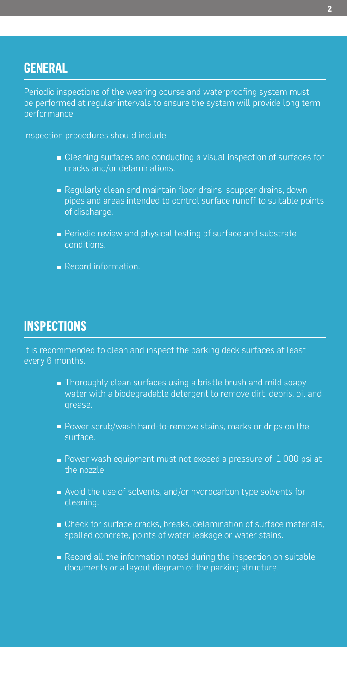## **GENERAL**

Periodic inspections of the wearing course and waterproofing system must be performed at regular intervals to ensure the system will provide long term performance.

Inspection procedures should include:

- **Cleaning surfaces and conducting a visual inspection of surfaces for** cracks and/or delaminations.
- Regularly clean and maintain floor drains, scupper drains, down pipes and areas intended to control surface runoff to suitable points of discharge.
- Periodic review and physical testing of surface and substrate conditions.
- Record information.

## **INSPECTIONS**

It is recommended to clean and inspect the parking deck surfaces at least every 6 months.

- Thoroughly clean surfaces using a bristle brush and mild soapy water with a biodegradable detergent to remove dirt, debris, oil and grease.
- Power scrub/wash hard-to-remove stains, marks or drips on the surface.
- $\blacksquare$  Power wash equipment must not exceed a pressure of  $1\,000$  psi at the nozzle.
- Avoid the use of solvents, and/or hydrocarbon type solvents for cleaning.
- Check for surface cracks, breaks, delamination of surface materials, spalled concrete, points of water leakage or water stains.
- Record all the information noted during the inspection on suitable documents or a layout diagram of the parking structure.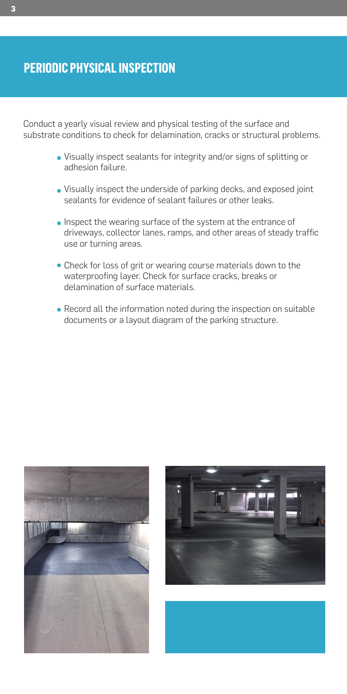## **PERIODIC PHYSICAL INSPECTION**

Conduct a yearly visual review and physical testing of the surface and substrate conditions to check for delamination, cracks or structural problems.

- Visually inspect sealants for integrity and/or signs of splitting or adhesion failure.
- Visually inspect the underside of parking decks, and exposed joint sealants for evidence of sealant failures or other leaks.
- Inspect the wearing surface of the system at the entrance of driveways, collector lanes, ramps, and other areas of steady traffic use or turning areas.
- Check for loss of grit or wearing course materials down to the waterproofing layer. Check for surface cracks, breaks or delamination of surface materials.
- Record all the information noted during the inspection on suitable documents or a layout diagram of the parking structure.



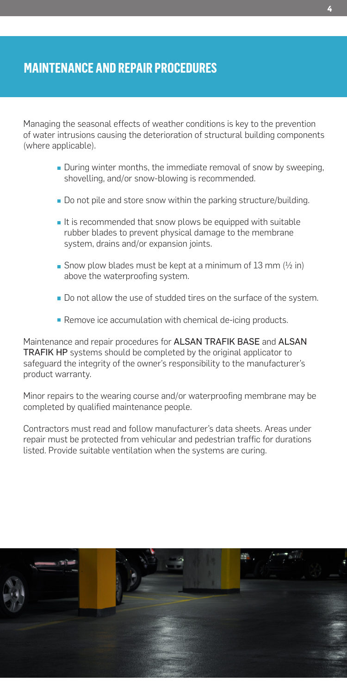## **MAINTENANCE AND REPAIR PROCEDURES**

Managing the seasonal effects of weather conditions is key to the prevention of water intrusions causing the deterioration of structural building components (where applicable).

- **During winter months, the immediate removal of snow by sweeping,** shovelling, and/or snow-blowing is recommended.
- Do not pile and store snow within the parking structure/building.
- $\blacksquare$  It is recommended that snow plows be equipped with suitable rubber blades to prevent physical damage to the membrane system, drains and/or expansion joints.
- Snow plow blades must be kept at a minimum of 13 mm  $(1/2)$  in) above the waterproofing system.
- Do not allow the use of studded tires on the surface of the system.
- Remove ice accumulation with chemical de-icing products.

Maintenance and repair procedures for ALSAN TRAFIK BASE and ALSAN TRAFIK HP systems should be completed by the original applicator to safeguard the integrity of the owner's responsibility to the manufacturer's product warranty.

Minor repairs to the wearing course and/or waterproofing membrane may be completed by qualified maintenance people.

Contractors must read and follow manufacturer's data sheets. Areas under repair must be protected from vehicular and pedestrian traffic for durations listed. Provide suitable ventilation when the systems are curing.

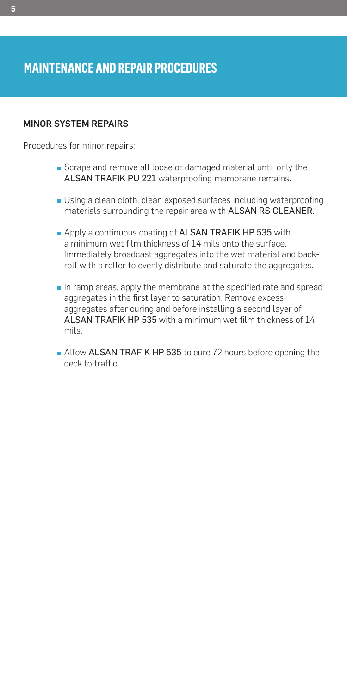## **MAINTENANCE AND REPAIR PROCEDURES**

#### MINOR SYSTEM REPAIRS

Procedures for minor repairs:

- Scrape and remove all loose or damaged material until only the ALSAN TRAFIK PU 221 waterproofing membrane remains.
- Using a clean cloth, clean exposed surfaces including waterproofing materials surrounding the repair area with ALSAN RS CLEANER.
- Apply a continuous coating of ALSAN TRAFIK HP 535 with a minimum wet film thickness of 14 mils onto the surface. Immediately broadcast aggregates into the wet material and backroll with a roller to evenly distribute and saturate the aggregates.
- In ramp areas, apply the membrane at the specified rate and spread aggregates in the first layer to saturation. Remove excess aggregates after curing and before installing a second layer of ALSAN TRAFIK HP 535 with a minimum wet film thickness of 14 mils.
- Allow ALSAN TRAFIK HP 535 to cure 72 hours before opening the deck to traffic.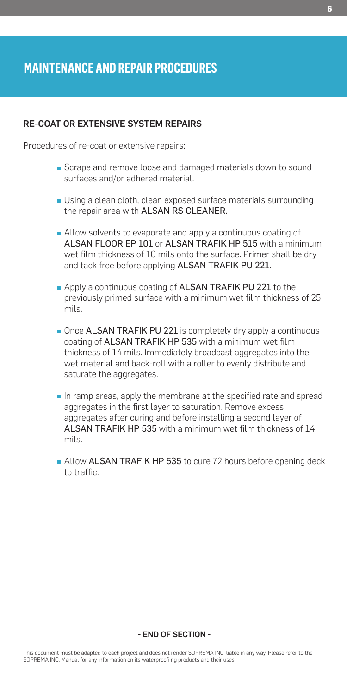#### RE-COAT OR EXTENSIVE SYSTEM REPAIRS

Procedures of re-coat or extensive repairs:

- Scrape and remove loose and damaged materials down to sound surfaces and/or adhered material.
- Using a clean cloth, clean exposed surface materials surrounding the repair area with ALSAN RS CLEANER.
- Allow solvents to evaporate and apply a continuous coating of ALSAN FLOOR EP 101 or ALSAN TRAFIK HP 515 with a minimum wet film thickness of 10 mils onto the surface. Primer shall be dry and tack free before applying ALSAN TRAFIK PU 221.
- **Apply a continuous coating of ALSAN TRAFIK PU 221 to the** previously primed surface with a minimum wet film thickness of 25 mils.
- Once ALSAN TRAFIK PU 221 is completely dry apply a continuous coating of ALSAN TRAFIK HP 535 with a minimum wet film thickness of 14 mils. Immediately broadcast aggregates into the wet material and back-roll with a roller to evenly distribute and saturate the aggregates.
- In ramp areas, apply the membrane at the specified rate and spread aggregates in the first layer to saturation. Remove excess aggregates after curing and before installing a second layer of ALSAN TRAFIK HP 535 with a minimum wet film thickness of 14 mils.
- **Allow ALSAN TRAFIK HP 535 to cure 72 hours before opening deck** to traffic.

#### - END OF SECTION -

This document must be adapted to each project and does not render SOPREMA INC. liable in any way. Please refer to the SOPREMA INC. Manual for any information on its waterproofi ng products and their uses.